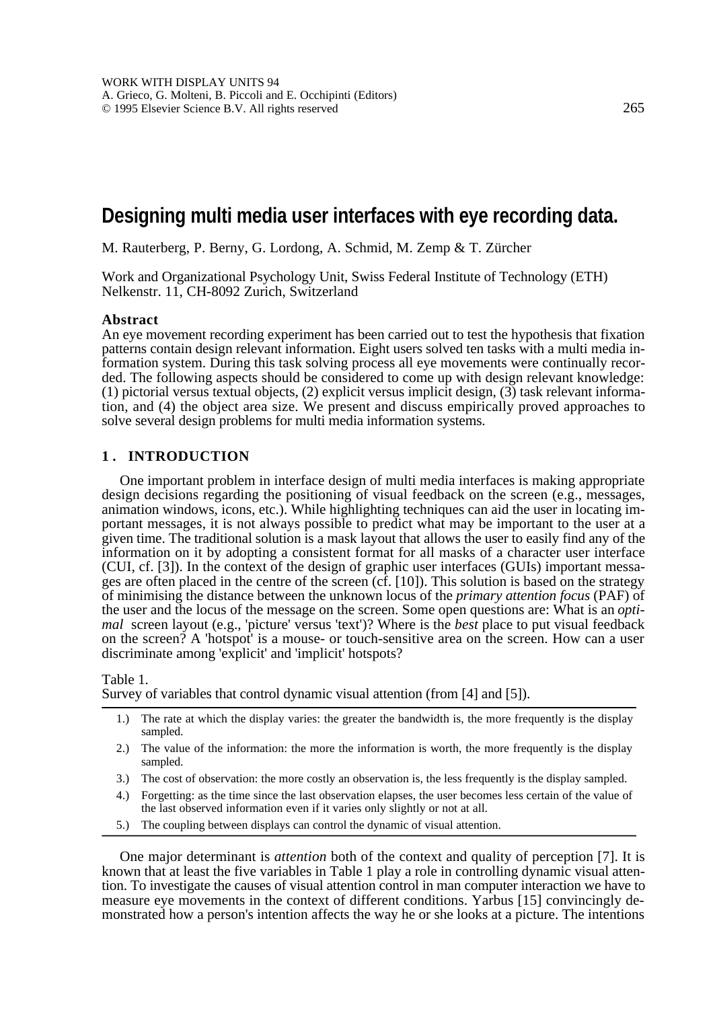# **Designing multi media user interfaces with eye recording data.**

M. Rauterberg, P. Berny, G. Lordong, A. Schmid, M. Zemp & T. Zürcher

Work and Organizational Psychology Unit, Swiss Federal Institute of Technology (ETH) Nelkenstr. 11, CH-8092 Zurich, Switzerland

#### **Abstract**

An eye movement recording experiment has been carried out to test the hypothesis that fixation patterns contain design relevant information. Eight users solved ten tasks with a multi media information system. During this task solving process all eye movements were continually recorded. The following aspects should be considered to come up with design relevant knowledge: (1) pictorial versus textual objects, (2) explicit versus implicit design,  $(3)$  task relevant information, and (4) the object area size. We present and discuss empirically proved approaches to solve several design problems for multi media information systems.

## **1 . INTRODUCTION**

One important problem in interface design of multi media interfaces is making appropriate design decisions regarding the positioning of visual feedback on the screen (e.g., messages, animation windows, icons, etc.). While highlighting techniques can aid the user in locating important messages, it is not always possible to predict what may be important to the user at a given time. The traditional solution is a mask layout that allows the user to easily find any of the information on it by adopting a consistent format for all masks of a character user interface (CUI, cf. [3]). In the context of the design of graphic user interfaces (GUIs) important messages are often placed in the centre of the screen (cf. [10]). This solution is based on the strategy of minimising the distance between the unknown locus of the *primary attention focus* (PAF) of the user and the locus of the message on the screen. Some open questions are: What is an *optimal* screen layout (e.g., 'picture' versus 'text')? Where is the *best* place to put visual feedback on the screen? A 'hotspot' is a mouse- or touch-sensitive area on the screen. How can a user discriminate among 'explicit' and 'implicit' hotspots?

Table 1.

Survey of variables that control dynamic visual attention (from [4] and [5]).

- 1.) The rate at which the display varies: the greater the bandwidth is, the more frequently is the display sampled.
- 2.) The value of the information: the more the information is worth, the more frequently is the display sampled.
- 3.) The cost of observation: the more costly an observation is, the less frequently is the display sampled.
- 4.) Forgetting: as the time since the last observation elapses, the user becomes less certain of the value of the last observed information even if it varies only slightly or not at all.
- 5.) The coupling between displays can control the dynamic of visual attention.

One major determinant is *attention* both of the context and quality of perception [7]. It is known that at least the five variables in Table 1 play a role in controlling dynamic visual attention. To investigate the causes of visual attention control in man computer interaction we have to measure eye movements in the context of different conditions. Yarbus [15] convincingly demonstrated how a person's intention affects the way he or she looks at a picture. The intentions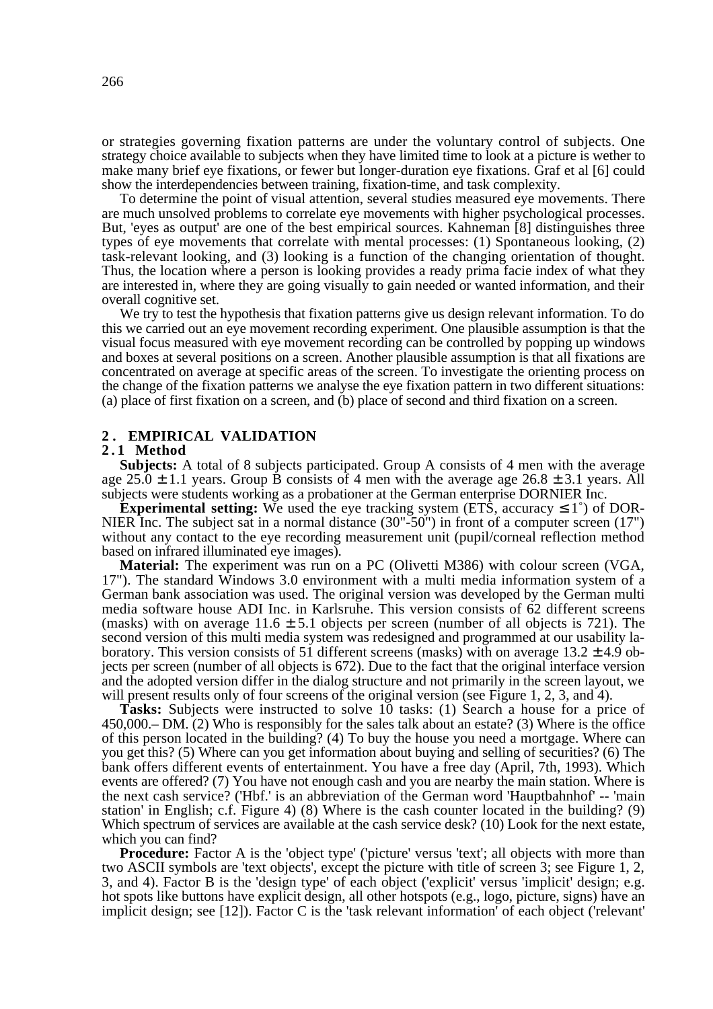or strategies governing fixation patterns are under the voluntary control of subjects. One strategy choice available to subjects when they have limited time to look at a picture is wether to make many brief eye fixations, or fewer but longer-duration eye fixations. Graf et al [6] could show the interdependencies between training, fixation-time, and task complexity.

To determine the point of visual attention, several studies measured eye movements. There are much unsolved problems to correlate eye movements with higher psychological processes. But, 'eyes as output' are one of the best empirical sources. Kahneman [8] distinguishes three types of eye movements that correlate with mental processes: (1) Spontaneous looking, (2) task-relevant looking, and (3) looking is a function of the changing orientation of thought. Thus, the location where a person is looking provides a ready prima facie index of what they are interested in, where they are going visually to gain needed or wanted information, and their overall cognitive set.

We try to test the hypothesis that fixation patterns give us design relevant information. To do this we carried out an eye movement recording experiment. One plausible assumption is that the visual focus measured with eye movement recording can be controlled by popping up windows and boxes at several positions on a screen. Another plausible assumption is that all fixations are concentrated on average at specific areas of the screen. To investigate the orienting process on the change of the fixation patterns we analyse the eye fixation pattern in two different situations: (a) place of first fixation on a screen, and (b) place of second and third fixation on a screen.

#### **2 . EMPIRICAL VALIDATION**

## **2 . 1 Method**

**Subjects:** A total of 8 subjects participated. Group A consists of 4 men with the average age 25.0  $\pm$  1.1 years. Group B consists of 4 men with the average age 26.8  $\pm$  3.1 years. All subjects were students working as a probationer at the German enterprise DORNIER Inc.

**Experimental setting:** We used the eye tracking system (ETS, accuracy  $\leq 1^{\circ}$ ) of DOR-NIER Inc. The subject sat in a normal distance (30"-50") in front of a computer screen (17") without any contact to the eye recording measurement unit (pupil/corneal reflection method based on infrared illuminated eye images).

**Material:** The experiment was run on a PC (Olivetti M386) with colour screen (VGA, 17"). The standard Windows 3.0 environment with a multi media information system of a German bank association was used. The original version was developed by the German multi media software house ADI Inc. in Karlsruhe. This version consists of 62 different screens (masks) with on average  $11.6 \pm 5.1$  objects per screen (number of all objects is 721). The second version of this multi media system was redesigned and programmed at our usability laboratory. This version consists of 51 different screens (masks) with on average  $13.2 \pm 4.9$  objects per screen (number of all objects is 672). Due to the fact that the original interface version and the adopted version differ in the dialog structure and not primarily in the screen layout, we will present results only of four screens of the original version (see Figure 1, 2, 3, and 4).

**Tasks:** Subjects were instructed to solve 10 tasks: (1) Search a house for a price of 450,000.– DM. (2) Who is responsibly for the sales talk about an estate? (3) Where is the office of this person located in the building? (4) To buy the house you need a mortgage. Where can you get this? (5) Where can you get information about buying and selling of securities? (6) The bank offers different events of entertainment. You have a free day (April, 7th, 1993). Which events are offered? (7) You have not enough cash and you are nearby the main station. Where is the next cash service? ('Hbf.' is an abbreviation of the German word 'Hauptbahnhof' -- 'main station' in English; c.f. Figure 4) (8) Where is the cash counter located in the building? (9) Which spectrum of services are available at the cash service desk? (10) Look for the next estate, which you can find?

**Procedure:** Factor A is the 'object type' ('picture' versus 'text'; all objects with more than two ASCII symbols are 'text objects', except the picture with title of screen 3; see Figure 1, 2, 3, and 4). Factor B is the 'design type' of each object ('explicit' versus 'implicit' design; e.g. hot spots like buttons have explicit design, all other hotspots (e.g., logo, picture, signs) have an implicit design; see [12]). Factor C is the 'task relevant information' of each object ('relevant'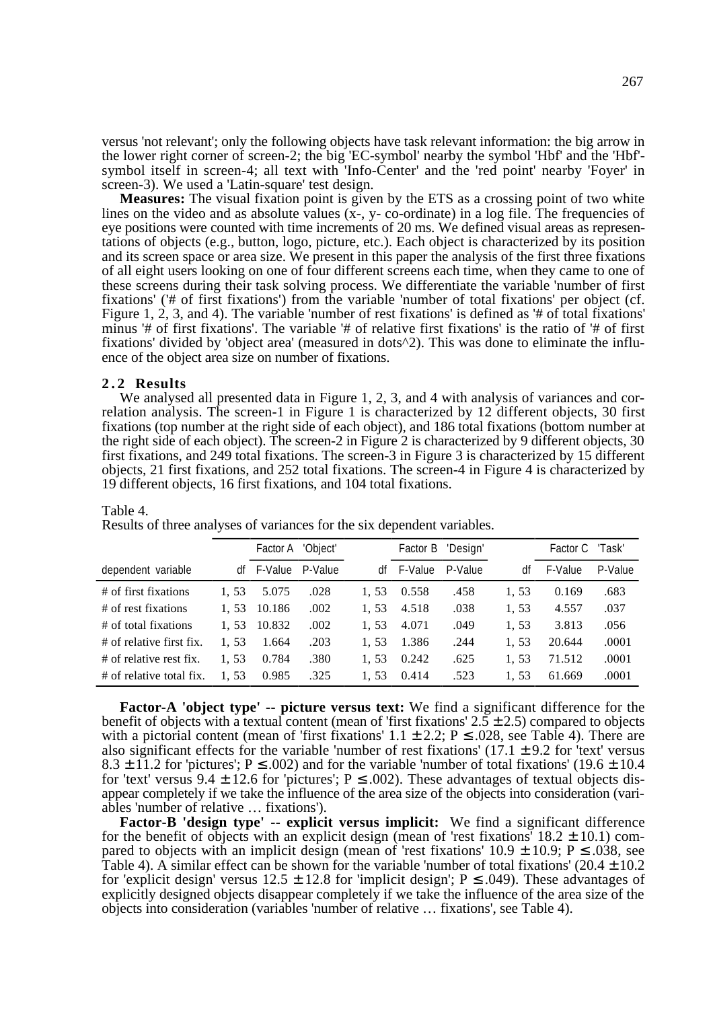versus 'not relevant'; only the following objects have task relevant information: the big arrow in the lower right corner of screen-2; the big 'EC-symbol' nearby the symbol 'Hbf' and the 'Hbf' symbol itself in screen-4; all text with 'Info-Center' and the 'red point' nearby 'Foyer' in screen-3). We used a 'Latin-square' test design.

**Measures:** The visual fixation point is given by the ETS as a crossing point of two white lines on the video and as absolute values (x-, y- co-ordinate) in a log file. The frequencies of eye positions were counted with time increments of 20 ms. We defined visual areas as representations of objects (e.g., button, logo, picture, etc.). Each object is characterized by its position and its screen space or area size. We present in this paper the analysis of the first three fixations of all eight users looking on one of four different screens each time, when they came to one of these screens during their task solving process. We differentiate the variable 'number of first fixations' ('# of first fixations') from the variable 'number of total fixations' per object (cf. Figure 1, 2, 3, and 4). The variable 'number of rest fixations' is defined as '# of total fixations' minus '# of first fixations'. The variable '# of relative first fixations' is the ratio of '# of first fixations' divided by 'object area' (measured in dots^2). This was done to eliminate the influence of the object area size on number of fixations.

#### **2.2 Results**

We analysed all presented data in Figure 1, 2, 3, and 4 with analysis of variances and correlation analysis. The screen-1 in Figure 1 is characterized by 12 different objects, 30 first fixations (top number at the right side of each object), and 186 total fixations (bottom number at the right side of each object). The screen-2 in Figure 2 is characterized by 9 different objects, 30 first fixations, and 249 total fixations. The screen-3 in Figure 3 is characterized by 15 different objects, 21 first fixations, and 252 total fixations. The screen-4 in Figure 4 is characterized by 19 different objects, 16 first fixations, and 104 total fixations.

|                          |      | Factor A 'Object' |         |      | Factor B | 'Design' |      | Factor C 'Task' |         |
|--------------------------|------|-------------------|---------|------|----------|----------|------|-----------------|---------|
| dependent variable       | df   | F-Value           | P-Value | df   | F-Value  | P-Value  | df   | F-Value         | P-Value |
| # of first fixations     | 1.53 | 5.075             | .028    | 1.53 | 0.558    | .458     | 1,53 | 0.169           | .683    |
| # of rest fixations      | 1.53 | 10.186            | .002    | 1.53 | 4.518    | .038     | 1,53 | 4.557           | .037    |
| # of total fixations     | 1.53 | 10.832            | .002    | 1.53 | 4.071    | .049     | 1.53 | 3.813           | .056    |
| # of relative first fix. | 1.53 | 1.664             | .203    | 1,53 | 1.386    | .244     | 1,53 | 20.644          | .0001   |
| # of relative rest fix.  | 1.53 | 0.784             | .380    | 1.53 | 0.242    | .625     | 1,53 | 71.512          | .0001   |
| # of relative total fix. | 1,53 | 0.985             | .325    | 1.53 | 0.414    | .523     | 1.53 | 61.669          | .0001   |

#### Table 4.

Results of three analyses of variances for the six dependent variables.

**Factor-A 'object type' -- picture versus text:** We find a significant difference for the benefit of objects with a textual content (mean of 'first fixations'  $2.5 \pm 2.5$ ) compared to objects with a pictorial content (mean of 'first fixations'  $1.1 \pm 2.2$ ; P  $\leq$  0.028, see Table 4). There are also significant effects for the variable 'number of rest fixations'  $(17.1 \pm 9.2$  for 'text' versus 8.3  $\pm$  11.2 for 'pictures'; P  $\leq$  .002) and for the variable 'number of total fixations' (19.6  $\pm$  10.4 for 'text' versus 9.4  $\pm$  12.6 for 'pictures'; P  $\leq$  .002). These advantages of textual objects disappear completely if we take the influence of the area size of the objects into consideration (variables 'number of relative … fixations').

**Factor-B 'design type' -- explicit versus implicit:** We find a significant difference for the benefit of objects with an explicit design (mean of 'rest fixations'  $18.2 \pm 10.1$ ) compared to objects with an implicit design (mean of 'rest fixations' 10.9  $\pm$  10.9; P  $\leq$  0.038, see Table 4). A similar effect can be shown for the variable 'number of total fixations'  $(20.4 \pm 10.2$ for 'explicit design' versus  $12.5 \pm 12.8$  for 'implicit design'; P  $\leq$  0.49). These advantages of explicitly designed objects disappear completely if we take the influence of the area size of the objects into consideration (variables 'number of relative … fixations', see Table 4).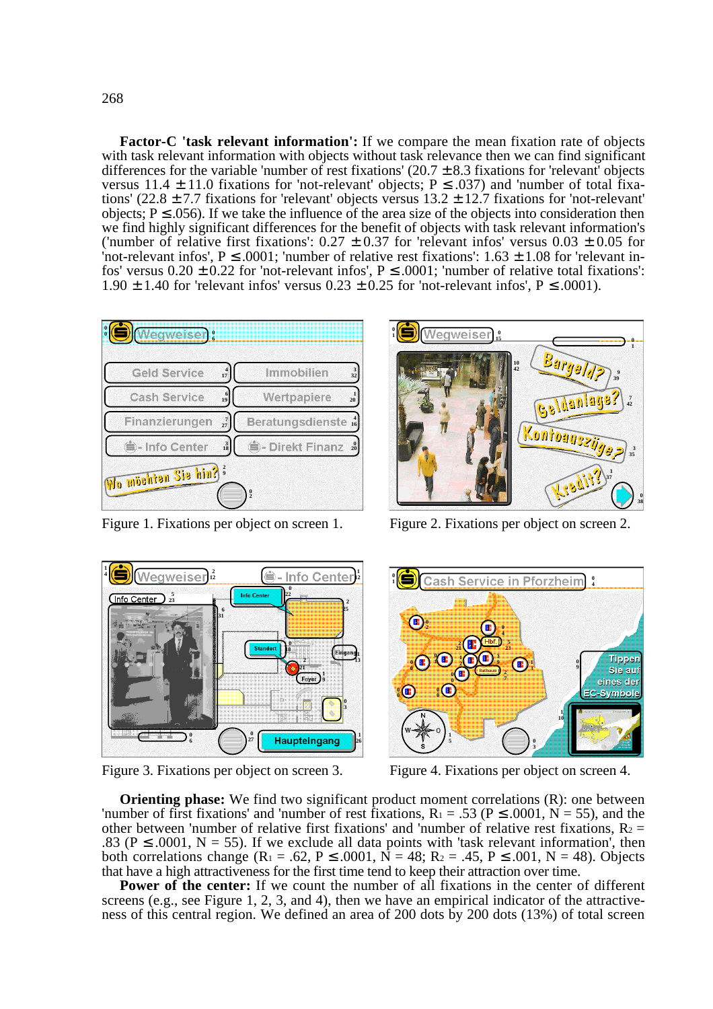**Factor-C 'task relevant information':** If we compare the mean fixation rate of objects with task relevant information with objects without task relevance then we can find significant differences for the variable 'number of rest fixations'  $(20.7 \pm 8.3$  fixations for 'relevant' objects versus 11.4  $\pm$  11.0 fixations for 'not-relevant' objects; P  $\leq$  .037) and 'number of total fixations' (22.8  $\pm$  7.7 fixations for 'relevant' objects versus 13.2  $\pm$  12.7 fixations for 'not-relevant' objects;  $P \le 0.056$ ). If we take the influence of the area size of the objects into consideration then we find highly significant differences for the benefit of objects with task relevant information's ('number of relative first fixations':  $0.27 \pm 0.37$  for 'relevant infos' versus  $0.03 \pm 0.05$  for 'not-relevant infos',  $P \le 0.0001$ ; 'number of relative rest fixations':  $1.63 \pm 1.08$  for 'relevant infos' versus  $0.20 \pm 0.22$  for 'not-relevant infos',  $P \le 0.0001$ ; 'number of relative total fixations': 1.90  $\pm$  1.40 for 'relevant infos' versus 0.23  $\pm$  0.25 for 'not-relevant infos', P  $\leq$  0.001).





Figure 1. Fixations per object on screen 1. Figure 2. Fixations per object on screen 2.





Figure 3. Fixations per object on screen 3. Figure 4. Fixations per object on screen 4.

**Orienting phase:** We find two significant product moment correlations (R): one between 'number of first fixations' and 'number of rest fixations,  $R_1 = .53$  ( $P \le 0.0001$ ,  $N = 55$ ), and the other between 'number of relative first fixations' and 'number of relative rest fixations,  $R_2 =$ .83 ( $P \le 0.0001$ ,  $N = 55$ ). If we exclude all data points with 'task relevant information', then both correlations change ( $R_1 = .62$ ,  $P \le 0.0001$ ,  $N = 48$ ;  $R_2 = .45$ ,  $P \le 0.001$ ,  $N = 48$ ). Objects that have a high attractiveness for the first time tend to keep their attraction over time.

**Power of the center:** If we count the number of all fixations in the center of different screens (e.g., see Figure 1, 2, 3, and 4), then we have an empirical indicator of the attractiveness of this central region. We defined an area of 200 dots by 200 dots (13%) of total screen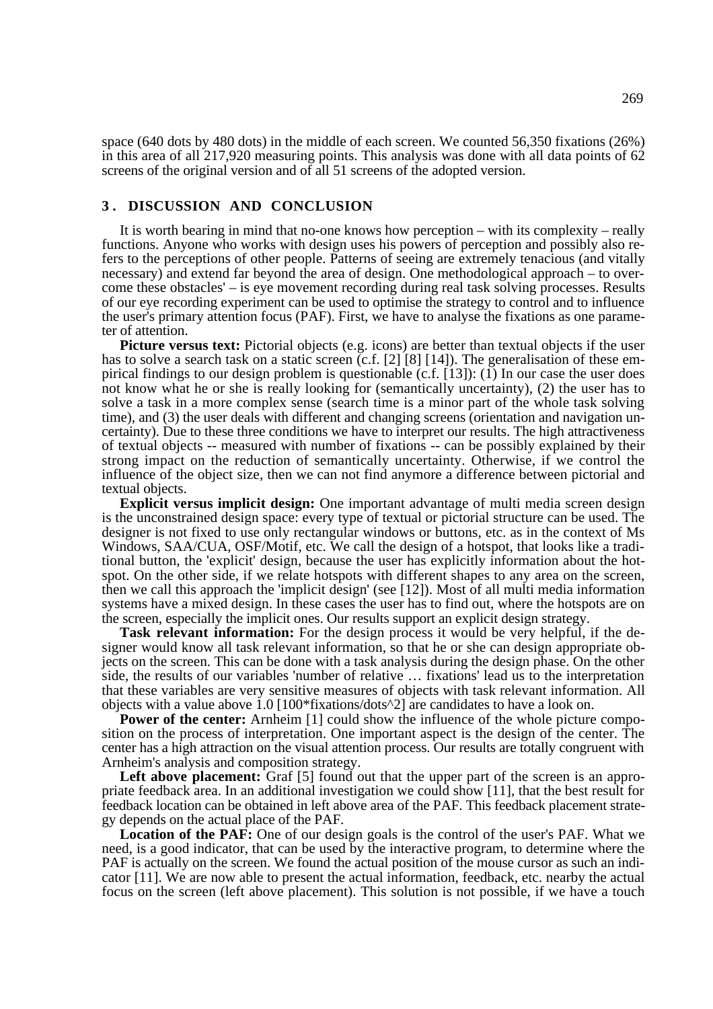space (640 dots by 480 dots) in the middle of each screen. We counted 56,350 fixations (26%) in this area of all 217,920 measuring points. This analysis was done with all data points of 62 screens of the original version and of all 51 screens of the adopted version.

## **3 . DISCUSSION AND CONCLUSION**

It is worth bearing in mind that no-one knows how perception – with its complexity – really functions. Anyone who works with design uses his powers of perception and possibly also refers to the perceptions of other people. Patterns of seeing are extremely tenacious (and vitally necessary) and extend far beyond the area of design. One methodological approach – to overcome these obstacles' – is eye movement recording during real task solving processes. Results of our eye recording experiment can be used to optimise the strategy to control and to influence the user's primary attention focus (PAF). First, we have to analyse the fixations as one parameter of attention.

**Picture versus text:** Pictorial objects (e.g. icons) are better than textual objects if the user has to solve a search task on a static screen (c.f. [2] [8] [14]). The generalisation of these empirical findings to our design problem is questionable (c.f. [13]): (1) In our case the user does not know what he or she is really looking for (semantically uncertainty), (2) the user has to solve a task in a more complex sense (search time is a minor part of the whole task solving time), and (3) the user deals with different and changing screens (orientation and navigation uncertainty). Due to these three conditions we have to interpret our results. The high attractiveness of textual objects -- measured with number of fixations -- can be possibly explained by their strong impact on the reduction of semantically uncertainty. Otherwise, if we control the influence of the object size, then we can not find anymore a difference between pictorial and textual objects.

**Explicit versus implicit design:** One important advantage of multi media screen design is the unconstrained design space: every type of textual or pictorial structure can be used. The designer is not fixed to use only rectangular windows or buttons, etc. as in the context of Ms Windows, SAA/CUA, OSF/Motif, etc. We call the design of a hotspot, that looks like a traditional button, the 'explicit' design, because the user has explicitly information about the hotspot. On the other side, if we relate hotspots with different shapes to any area on the screen, then we call this approach the 'implicit design' (see [12]). Most of all multi media information systems have a mixed design. In these cases the user has to find out, where the hotspots are on the screen, especially the implicit ones. Our results support an explicit design strategy.

**Task relevant information:** For the design process it would be very helpful, if the designer would know all task relevant information, so that he or she can design appropriate objects on the screen. This can be done with a task analysis during the design phase. On the other side, the results of our variables 'number of relative … fixations' lead us to the interpretation that these variables are very sensitive measures of objects with task relevant information. All objects with a value above  $1.0$  [100\*fixations/dots^2] are candidates to have a look on.

**Power of the center:** Arnheim [1] could show the influence of the whole picture composition on the process of interpretation. One important aspect is the design of the center. The center has a high attraction on the visual attention process. Our results are totally congruent with Arnheim's analysis and composition strategy.

**Left above placement:** Graf [5] found out that the upper part of the screen is an appropriate feedback area. In an additional investigation we could show [11], that the best result for feedback location can be obtained in left above area of the PAF. This feedback placement strategy depends on the actual place of the PAF.

**Location of the PAF:** One of our design goals is the control of the user's PAF. What we need, is a good indicator, that can be used by the interactive program, to determine where the PAF is actually on the screen. We found the actual position of the mouse cursor as such an indicator [11]. We are now able to present the actual information, feedback, etc. nearby the actual focus on the screen (left above placement). This solution is not possible, if we have a touch